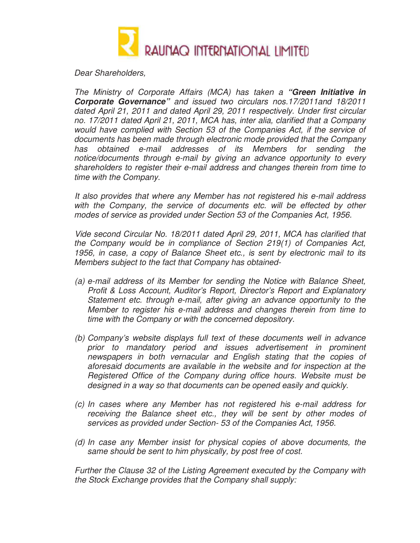

Dear Shareholders,

The Ministry of Corporate Affairs (MCA) has taken a **"Green Initiative in Corporate Governance"** and issued two circulars nos.17/2011and 18/2011 dated April 21, 2011 and dated April 29, 2011 respectively. Under first circular no. 17/2011 dated April 21, 2011, MCA has, inter alia, clarified that a Company would have complied with Section 53 of the Companies Act, if the service of documents has been made through electronic mode provided that the Company has obtained e-mail addresses of its Members for sending the notice/documents through e-mail by giving an advance opportunity to every shareholders to register their e-mail address and changes therein from time to time with the Company.

 It also provides that where any Member has not registered his e-mail address with the Company, the service of documents etc. will be effected by other modes of service as provided under Section 53 of the Companies Act, 1956.

 Vide second Circular No. 18/2011 dated April 29, 2011, MCA has clarified that the Company would be in compliance of Section 219(1) of Companies Act, 1956, in case, a copy of Balance Sheet etc., is sent by electronic mail to its Members subject to the fact that Company has obtained-

- (a) e-mail address of its Member for sending the Notice with Balance Sheet, Profit & Loss Account, Auditor's Report, Director's Report and Explanatory Statement etc. through e-mail, after giving an advance opportunity to the Member to register his e-mail address and changes therein from time to time with the Company or with the concerned depository.
- (b) Company's website displays full text of these documents well in advance prior to mandatory period and issues advertisement in prominent newspapers in both vernacular and English stating that the copies of aforesaid documents are available in the website and for inspection at the Registered Office of the Company during office hours. Website must be designed in a way so that documents can be opened easily and quickly.
- (c) In cases where any Member has not registered his e-mail address for receiving the Balance sheet etc., they will be sent by other modes of services as provided under Section- 53 of the Companies Act, 1956.
- (d) In case any Member insist for physical copies of above documents, the same should be sent to him physically, by post free of cost.

Further the Clause 32 of the Listing Agreement executed by the Company with the Stock Exchange provides that the Company shall supply: